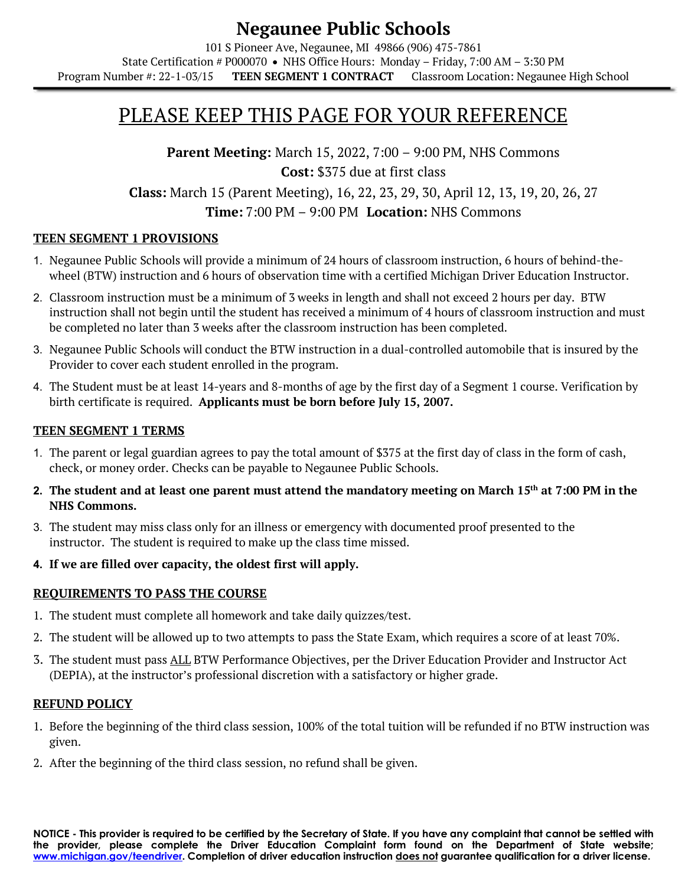#### **Negaunee Public Schools** 101 S Pioneer Ave, Negaunee, MI 49866 (906) 475-7861 State Certification # P000070 • NHS Office Hours: Monday – Friday, 7:00 AM – 3:30 PM Program Number #: 22-1-03/15 **TEEN SEGMENT 1 CONTRACT** Classroom Location: Negaunee High School

# PLEASE KEEP THIS PAGE FOR YOUR REFERENCE

**Parent Meeting:** March 15, 2022, 7:00 – 9:00 PM, NHS Commons **Cost:** \$375 due at first class **Class:** March 15 (Parent Meeting), 16, 22, 23, 29, 30, April 12, 13, 19, 20, 26, 27 **Time:** 7:00 PM – 9:00 PM **Location:** NHS Commons

#### **TEEN SEGMENT 1 PROVISIONS**

- 1. Negaunee Public Schools will provide a minimum of 24 hours of classroom instruction, 6 hours of behind-thewheel (BTW) instruction and 6 hours of observation time with a certified Michigan Driver Education Instructor.
- 2. Classroom instruction must be a minimum of 3 weeks in length and shall not exceed 2 hours per day. BTW instruction shall not begin until the student has received a minimum of 4 hours of classroom instruction and must be completed no later than 3 weeks after the classroom instruction has been completed.
- 3. Negaunee Public Schools will conduct the BTW instruction in a dual-controlled automobile that is insured by the Provider to cover each student enrolled in the program.
- 4. The Student must be at least 14-years and 8-months of age by the first day of a Segment 1 course. Verification by birth certificate is required. **Applicants must be born before July 15, 2007.**

#### **TEEN SEGMENT 1 TERMS**

- 1. The parent or legal guardian agrees to pay the total amount of \$375 at the first day of class in the form of cash, check, or money order. Checks can be payable to Negaunee Public Schools.
- **2. The student and at least one parent must attend the mandatory meeting on March 15th at 7:00 PM in the NHS Commons.**
- 3. The student may miss class only for an illness or emergency with documented proof presented to the instructor. The student is required to make up the class time missed.
- **4. If we are filled over capacity, the oldest first will apply.**

#### **REQUIREMENTS TO PASS THE COURSE**

- 1. The student must complete all homework and take daily quizzes/test.
- 2. The student will be allowed up to two attempts to pass the State Exam, which requires a score of at least 70%.
- 3. The student must pass ALL BTW Performance Objectives, per the Driver Education Provider and Instructor Act (DEPIA), at the instructor's professional discretion with a satisfactory or higher grade.

#### **REFUND POLICY**

- 1. Before the beginning of the third class session, 100% of the total tuition will be refunded if no BTW instruction was given.
- 2. After the beginning of the third class session, no refund shall be given.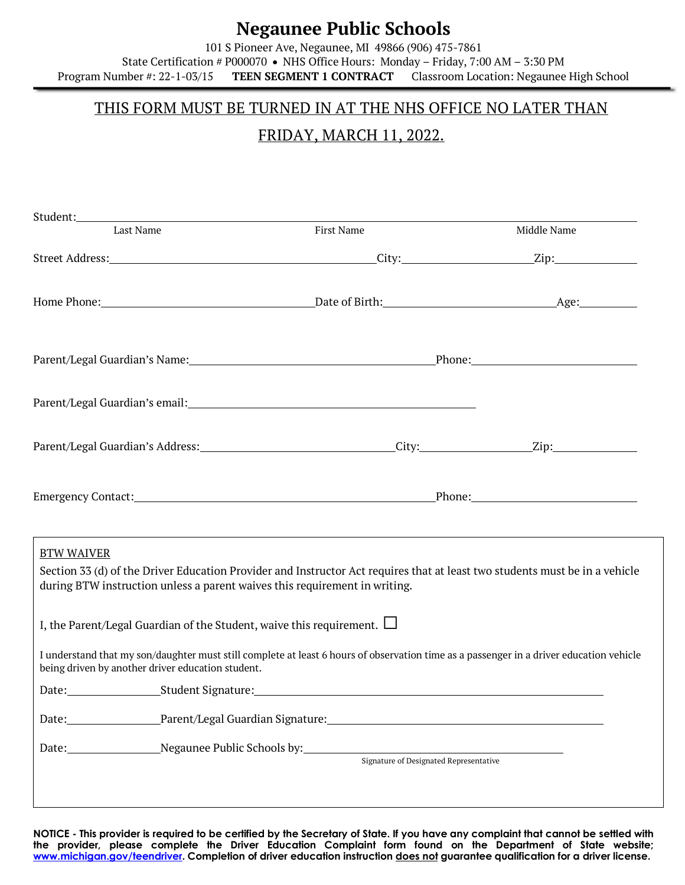## **Negaunee Public Schools**

101 S Pioneer Ave, Negaunee, MI 49866 (906) 475-7861 State Certification # P000070 • NHS Office Hours: Monday – Friday, 7:00 AM – 3:30 PM Program Number #: 22-1-03/15 **TEEN SEGMENT 1 CONTRACT** Classroom Location: Negaunee High School

### THIS FORM MUST BE TURNED IN AT THE NHS OFFICE NO LATER THAN

## FRIDAY, MARCH 11, 2022.

| Last Name                                                                                                                                                                                                                                                                                | Student: North Commission of the Commission of the Commission of the Commission of the Commission of the Commission of the Commission of the Commission of the Commission of the Commission of the Commission of the Commissio                                                |             |
|------------------------------------------------------------------------------------------------------------------------------------------------------------------------------------------------------------------------------------------------------------------------------------------|-------------------------------------------------------------------------------------------------------------------------------------------------------------------------------------------------------------------------------------------------------------------------------|-------------|
|                                                                                                                                                                                                                                                                                          | First Name                                                                                                                                                                                                                                                                    | Middle Name |
|                                                                                                                                                                                                                                                                                          |                                                                                                                                                                                                                                                                               |             |
|                                                                                                                                                                                                                                                                                          |                                                                                                                                                                                                                                                                               |             |
|                                                                                                                                                                                                                                                                                          | Parent/Legal Guardian's Name: 1990 1990 1991 1991 1992 1994 1994 1994 1994 1995 1996 1997 1998 1999 1999 1999                                                                                                                                                                 |             |
|                                                                                                                                                                                                                                                                                          |                                                                                                                                                                                                                                                                               |             |
|                                                                                                                                                                                                                                                                                          |                                                                                                                                                                                                                                                                               |             |
|                                                                                                                                                                                                                                                                                          | Emergency Contact: <u>New York: Phone:</u> Phone: Phone: Phone: Phone: Phone: Phone: Phone: Phone: Phone: Phone: Phone: Phone: Phone: Phone: Phone: Phone: Phone: Phone: Phone: Phone: Phone: Phone: Phone: Phone: Phone: Phone: Ph                                           |             |
| <b>BTW WAIVER</b>                                                                                                                                                                                                                                                                        |                                                                                                                                                                                                                                                                               |             |
| Section 33 (d) of the Driver Education Provider and Instructor Act requires that at least two students must be in a vehicle<br>during BTW instruction unless a parent waives this requirement in writing.<br>I, the Parent/Legal Guardian of the Student, waive this requirement. $\Box$ | I understand that my son/daughter must still complete at least 6 hours of observation time as a passenger in a driver education vehicle                                                                                                                                       |             |
| being driven by another driver education student.                                                                                                                                                                                                                                        |                                                                                                                                                                                                                                                                               |             |
|                                                                                                                                                                                                                                                                                          | Date: Student Signature: Student Signature: Student Signature: Student Signature: Student Signature: Student Signature: Student Signature: Student Signature: Student Signature: Student Signature: Student Signature: Student<br>Date: Parent/Legal Guardian Signature: 1997 |             |

**NOTICE - This provider is required to be certified by the Secretary of State. If you have any complaint that cannot be settled with the provider, please complete the Driver Education Complaint form found on the Department of State website; www.michigan.gov/teendriver. Completion of driver education instruction does not guarantee qualification for a driver license.**